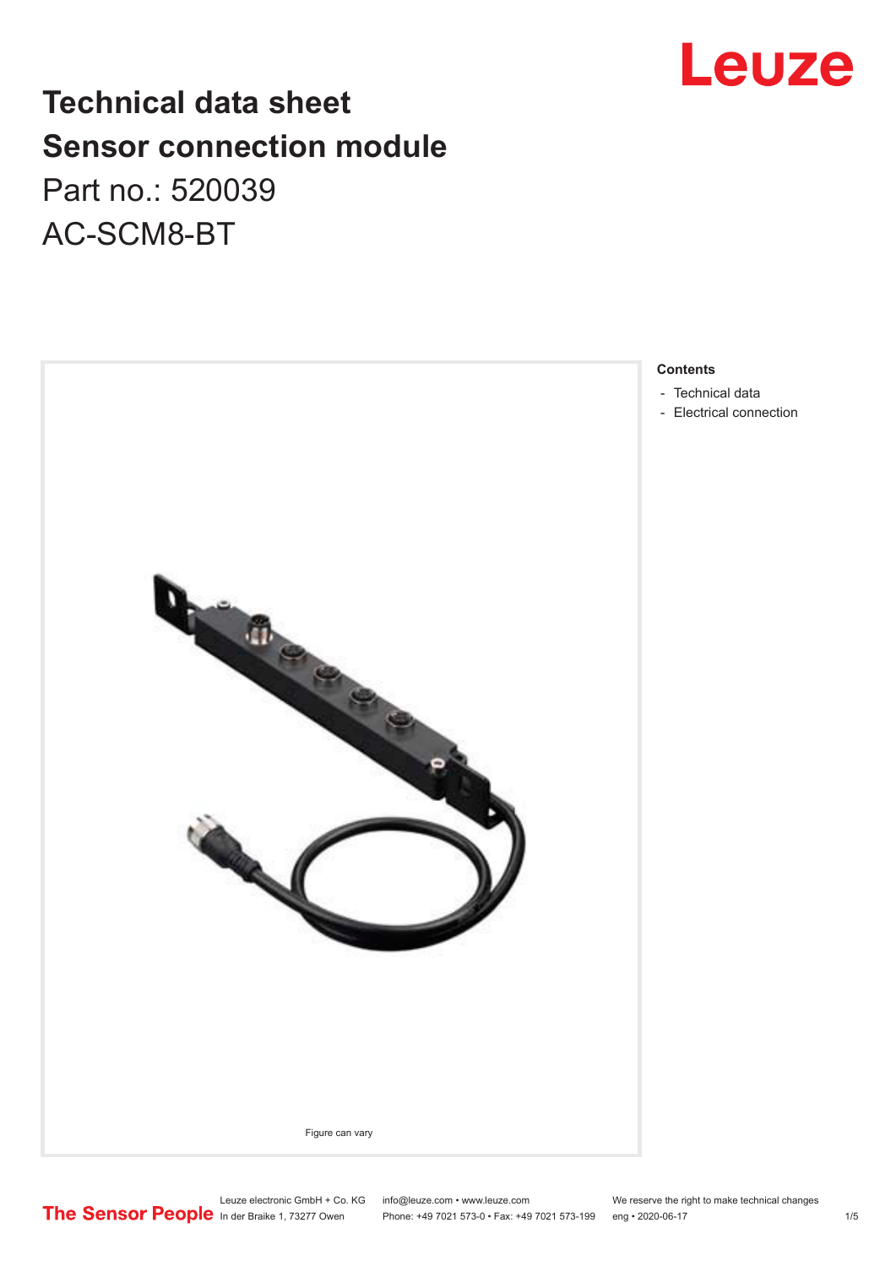## **Technical data sheet Sensor connection module** Part no.: 520039 AC-SCM8-BT



## **Contents**

- [Technical data](#page-1-0)
- [Electrical connection](#page-2-0)

Leuze electronic GmbH + Co. KG info@leuze.com • www.leuze.com We reserve the right to make technical changes

In der Braike 1, 73277 Owen Phone: +49 7021 573-0 • Fax: +49 7021 573-199 eng • 2020-06-17 1 /5

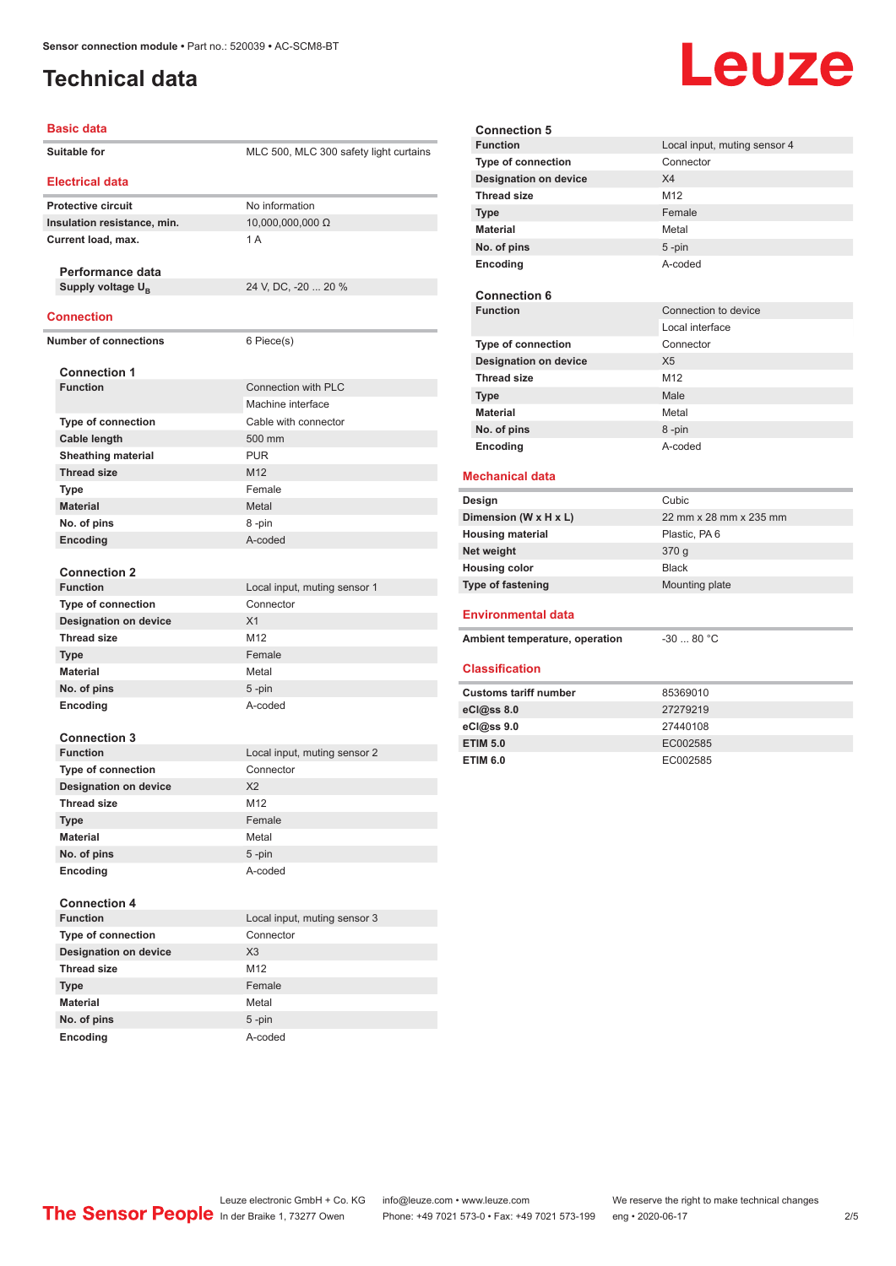## <span id="page-1-0"></span>**Technical data**

# Leuze

### **Basic data**

Î.

| Suitable for                 | MLC 500, MLC 300 safety light curtains |
|------------------------------|----------------------------------------|
| <b>Electrical data</b>       |                                        |
| <b>Protective circuit</b>    | No information                         |
| Insulation resistance, min.  | 10,000,000,000 Ω                       |
| Current load, max.           | 1A                                     |
| Performance data             |                                        |
| Supply voltage $U_{\rm B}$   | 24 V, DC, -20  20 %                    |
| Connection                   |                                        |
| <b>Number of connections</b> | 6 Piece(s)                             |
|                              |                                        |
| <b>Connection 1</b>          |                                        |
| <b>Function</b>              | Connection with PLC                    |
|                              | Machine interface                      |
| <b>Type of connection</b>    | Cable with connector                   |
| Cable length                 | 500 mm                                 |
| <b>Sheathing material</b>    | <b>PUR</b>                             |
| <b>Thread size</b>           | M <sub>12</sub>                        |
| <b>Type</b>                  | Female                                 |
| <b>Material</b>              | Metal                                  |
| No. of pins                  | 8-pin                                  |
| Encoding                     | A-coded                                |
| <b>Connection 2</b>          |                                        |
| <b>Function</b>              | Local input, muting sensor 1           |
| Type of connection           | Connector                              |
| <b>Designation on device</b> | X1                                     |
| <b>Thread size</b>           | M12                                    |
| <b>Type</b>                  | Female                                 |
| <b>Material</b>              | Metal                                  |
| No. of pins                  | 5-pin                                  |
| Encoding                     | A-coded                                |
| <b>Connection 3</b>          |                                        |
| <b>Function</b>              | Local input, muting sensor 2           |
| <b>Type of connection</b>    | Connector                              |
| <b>Designation on device</b> | X <sub>2</sub>                         |
| <b>Thread size</b>           | M12                                    |
| <b>Type</b>                  | Female                                 |
| <b>Material</b>              | Metal                                  |
| No. of pins                  | 5-pin                                  |
| Encoding                     | A-coded                                |
| <b>Connection 4</b>          |                                        |
| <b>Function</b>              | Local input, muting sensor 3           |
| Type of connection           | Connector                              |
| <b>Designation on device</b> | X3                                     |
| <b>Thread size</b>           | M12                                    |
| <b>Type</b>                  | Female                                 |
| <b>Material</b>              | Metal                                  |
| No. of pins                  | $5$ -pin                               |
| Encoding                     | A-coded                                |

| <b>Connection 5</b>            |                              |
|--------------------------------|------------------------------|
| <b>Function</b>                | Local input, muting sensor 4 |
| <b>Type of connection</b>      | Connector                    |
| <b>Designation on device</b>   | X4                           |
| <b>Thread size</b>             | M12                          |
| <b>Type</b>                    | Female                       |
| <b>Material</b>                | Metal                        |
| No. of pins                    | $5 - pin$                    |
| Encoding                       | A-coded                      |
| <b>Connection 6</b>            |                              |
| <b>Function</b>                | Connection to device         |
|                                | Local interface              |
| Type of connection             | Connector                    |
| <b>Designation on device</b>   | X <sub>5</sub>               |
| <b>Thread size</b>             | M <sub>12</sub>              |
| <b>Type</b>                    | Male                         |
| Material                       | Metal                        |
| No. of pins                    | 8-pin                        |
| Encoding                       | A-coded                      |
| <b>Mechanical data</b>         |                              |
| Design                         | Cubic                        |
| Dimension (W x H x L)          | 22 mm x 28 mm x 235 mm       |
| <b>Housing material</b>        | Plastic, PA 6                |
| Net weight                     | 370 g                        |
| <b>Housing color</b>           | <b>Black</b>                 |
| <b>Type of fastening</b>       | Mounting plate               |
| <b>Environmental data</b>      |                              |
| Ambient temperature, operation | $-30$ 80 °C                  |
| <b>Classification</b>          |                              |
| <b>Customs tariff number</b>   | 85369010                     |
| eCl@ss 8.0                     | 27279219                     |
| eCl@ss 9.0                     | 27440108                     |
| <b>ETIM 5.0</b>                | EC002585                     |
| <b>ETIM 6.0</b>                | EC002585                     |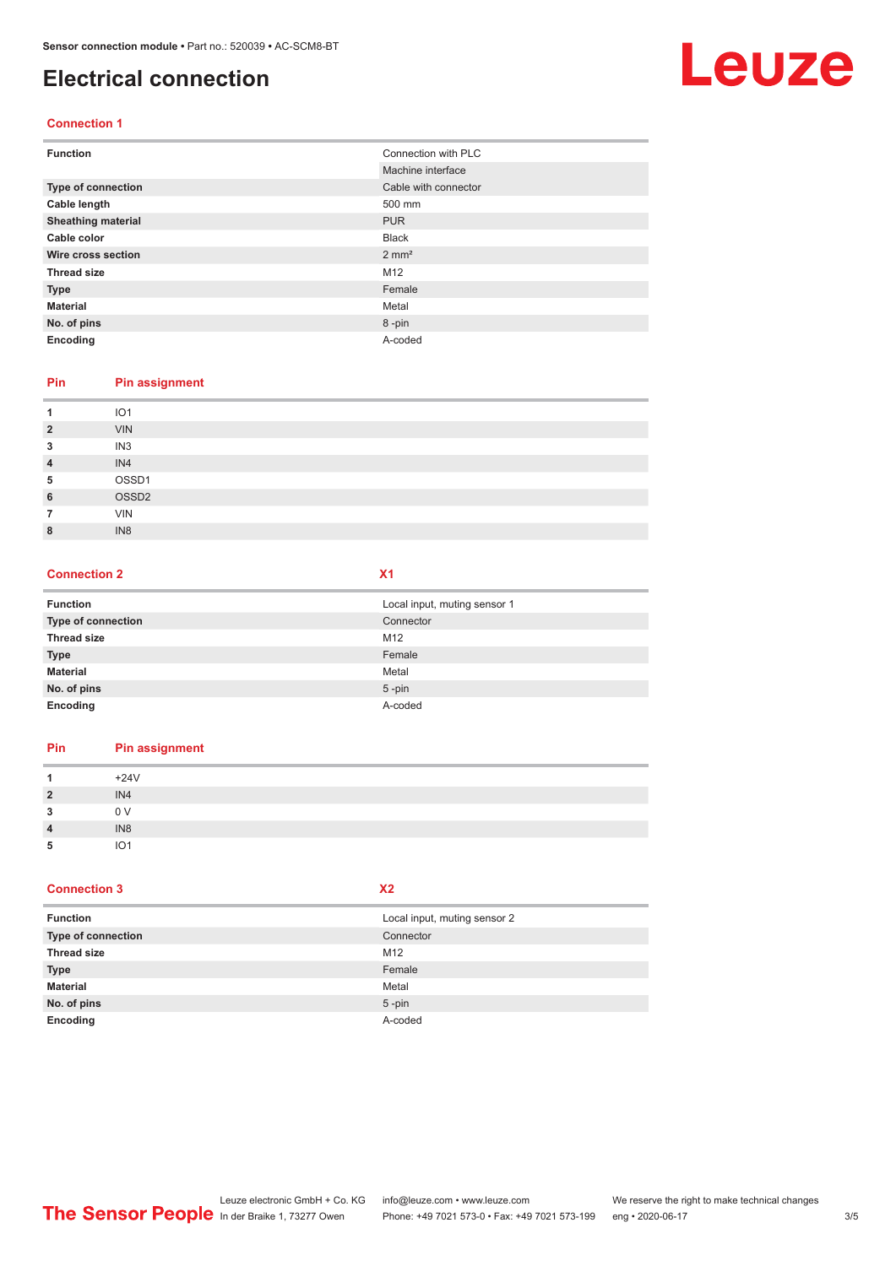## <span id="page-2-0"></span>**Electrical connection**

# Leuze

## **Connection 1**

| <b>Function</b>           | Connection with PLC  |
|---------------------------|----------------------|
|                           | Machine interface    |
| Type of connection        | Cable with connector |
| Cable length              | 500 mm               |
| <b>Sheathing material</b> | <b>PUR</b>           |
| Cable color               | <b>Black</b>         |
| Wire cross section        | $2 \text{ mm}^2$     |
| <b>Thread size</b>        | M12                  |
| <b>Type</b>               | Female               |
| <b>Material</b>           | Metal                |
| No. of pins               | 8-pin                |
| Encoding                  | A-coded              |

### **Pin Pin assignment**

| 1              | IO <sub>1</sub>   |
|----------------|-------------------|
| $\overline{2}$ | <b>VIN</b>        |
| 3              | IN <sub>3</sub>   |
| $\overline{4}$ | IN4               |
| 5              | OSSD1             |
| 6              | OSSD <sub>2</sub> |
|                | <b>VIN</b>        |
| 8              | IN <sub>8</sub>   |

#### **Connection 2 X1**

| <b>Function</b>           | Local input, muting sensor 1 |
|---------------------------|------------------------------|
| <b>Type of connection</b> | Connector                    |
| <b>Thread size</b>        | M12                          |
| <b>Type</b>               | Female                       |
| <b>Material</b>           | Metal                        |
| No. of pins               | $5$ -pin                     |
| Encoding                  | A-coded                      |

## **Pin Pin assignment** 1  $+24V$ **2** IN4 **3** 0 V **4** IN8 **5** IO1

### **Connection 3**

|  |  | ۰. |  |
|--|--|----|--|
|  |  |    |  |

| <b>Function</b>           | Local input, muting sensor 2 |
|---------------------------|------------------------------|
| <b>Type of connection</b> | Connector                    |
| <b>Thread size</b>        | M12                          |
| <b>Type</b>               | Female                       |
| <b>Material</b>           | Metal                        |
| No. of pins               | $5$ -pin                     |
| Encoding                  | A-coded                      |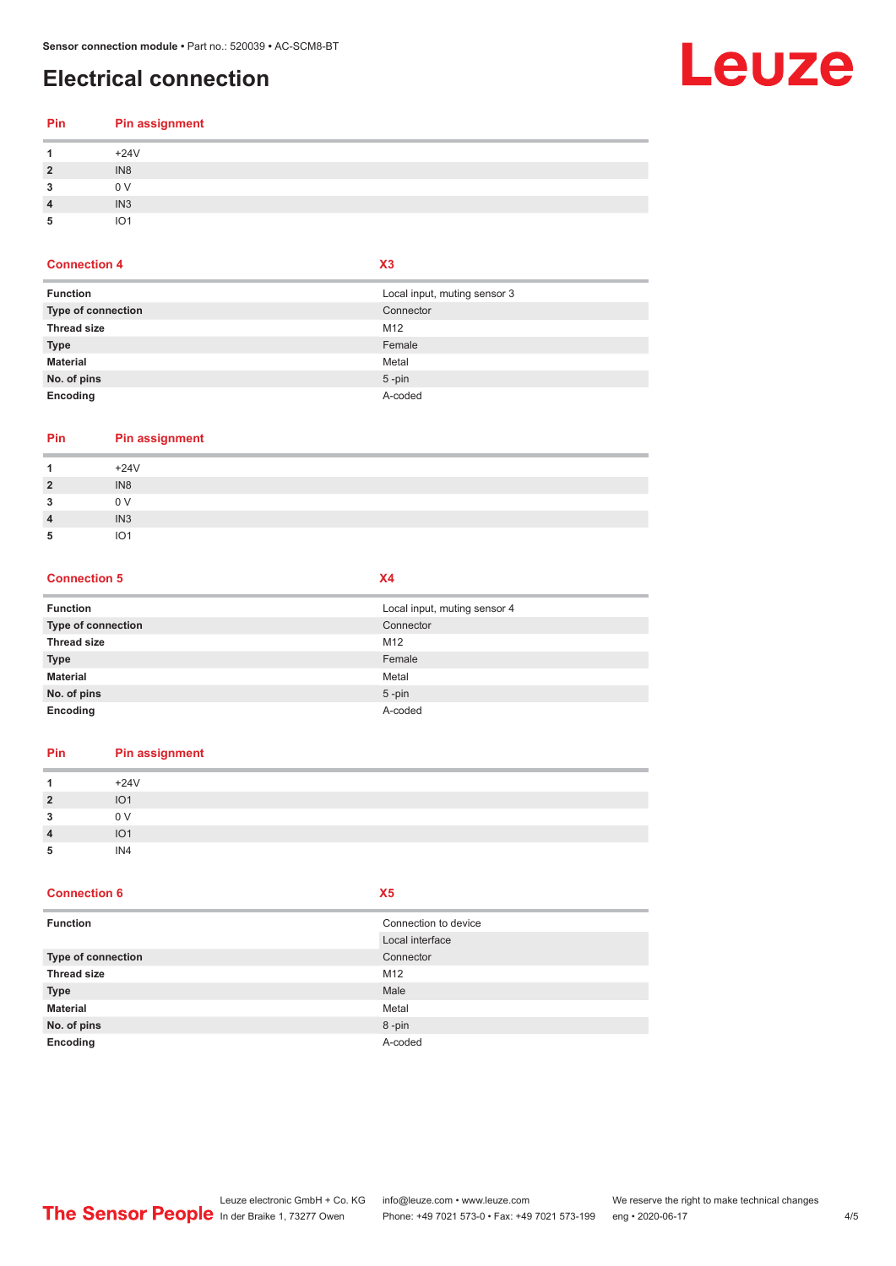## **Electrical connection**

## Leuze

| Pin            | <b>Pin assignment</b> |
|----------------|-----------------------|
|                | $+24V$                |
| $\overline{2}$ | IN <sub>8</sub>       |
|                | 0 V                   |
|                | IN <sub>3</sub>       |
|                | IO <sub>1</sub>       |

## **Connection 4 X3**

| <b>Function</b>           | Local input, muting sensor 3 |
|---------------------------|------------------------------|
| <b>Type of connection</b> | Connector                    |
| <b>Thread size</b>        | M12                          |
| <b>Type</b>               | Female                       |
| <b>Material</b>           | Metal                        |
| No. of pins               | $5$ -pin                     |
| Encoding                  | A-coded                      |

## **Pin Pin assignment**

| $\overline{A}$ | $+24V$          |
|----------------|-----------------|
| $\overline{2}$ | IN <sub>8</sub> |
| 3              | 0 <sub>V</sub>  |
| $\overline{4}$ | IN <sub>3</sub> |
| 5              | $1^{\circ}$ 1   |

#### **Connection 5 X4**

| <b>Function</b>    | Local input, muting sensor 4 |
|--------------------|------------------------------|
| Type of connection | Connector                    |
| <b>Thread size</b> | M12                          |
| <b>Type</b>        | Female                       |
| <b>Material</b>    | Metal                        |
| No. of pins        | $5$ -pin                     |
| Encoding           | A-coded                      |

## **Pin Pin assignment**

|                    | $+24V$          |
|--------------------|-----------------|
| $\overline{2}$     | IO <sub>1</sub> |
| 3                  | 0 <sub>V</sub>  |
| $\overline{\bf 4}$ | IO <sub>1</sub> |
| 5                  | IN4             |

### **Connection 6 X5**

| <b>Function</b>    | Connection to device |
|--------------------|----------------------|
|                    | Local interface      |
| Type of connection | Connector            |
| <b>Thread size</b> | M <sub>12</sub>      |
| <b>Type</b>        | Male                 |
| <b>Material</b>    | Metal                |
| No. of pins        | 8-pin                |
| Encoding           | A-coded              |